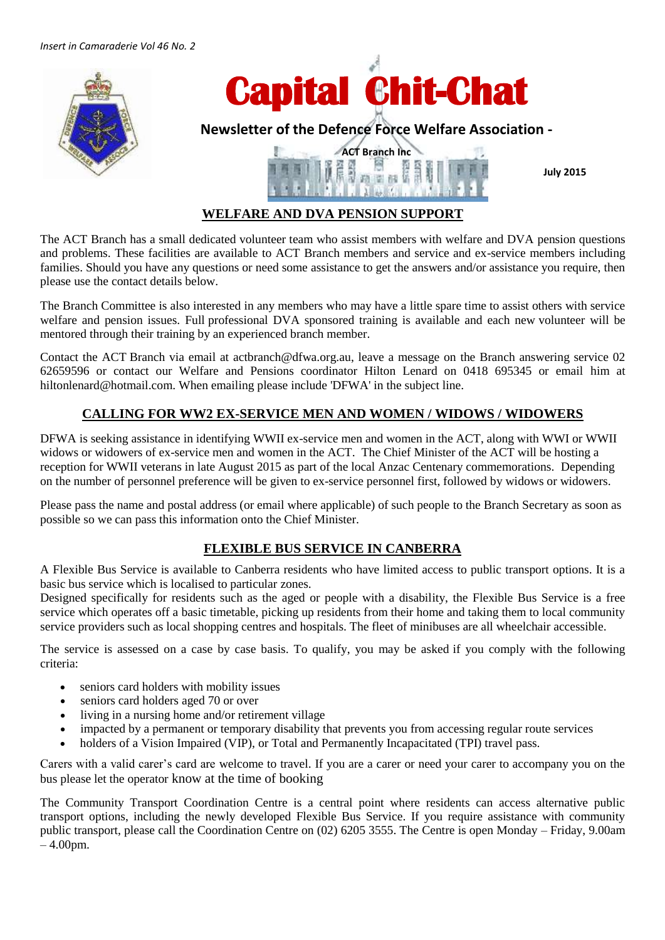

**July 2015**

# **WELFARE AND DVA PENSION SUPPORT**

The ACT Branch has a small dedicated volunteer team who assist members with welfare and DVA pension questions and problems. These facilities are available to ACT Branch members and service and ex-service members including families. Should you have any questions or need some assistance to get the answers and/or assistance you require, then please use the contact details below.

The Branch Committee is also interested in any members who may have a little spare time to assist others with service welfare and pension issues. Full professional DVA sponsored training is available and each new volunteer will be mentored through their training by an experienced branch member.

Contact the ACT Branch via email at [actbranch@dfwa.org.au,](mailto:actbranch@dfwa.org.au) leave a message on the Branch answering service 02 62659596 or contact our Welfare and Pensions coordinator Hilton Lenard on 0418 695345 or email him at [hiltonlenard@hotmail.com.](mailto:hiltonlenard@hotmail.com) When emailing please include 'DFWA' in the subject line.

# **CALLING FOR WW2 EX-SERVICE MEN AND WOMEN / WIDOWS / WIDOWERS**

DFWA is seeking assistance in identifying WWII ex-service men and women in the ACT, along with WWI or WWII widows or widowers of ex-service men and women in the ACT. The Chief Minister of the ACT will be hosting a reception for WWII veterans in late August 2015 as part of the local Anzac Centenary commemorations. Depending on the number of personnel preference will be given to ex-service personnel first, followed by widows or widowers.

Please pass the name and postal address (or email where applicable) of such people to the Branch Secretary as soon as possible so we can pass this information onto the Chief Minister.

### **FLEXIBLE BUS SERVICE IN CANBERRA**

A Flexible Bus Service is available to Canberra residents who have limited access to public transport options. It is a basic bus service which is localised to particular zones.

Designed specifically for residents such as the aged or people with a disability, the Flexible Bus Service is a free service which operates off a basic timetable, picking up residents from their home and taking them to local community service providers such as local shopping centres and hospitals. The fleet of minibuses are all wheelchair accessible.

The service is assessed on a case by case basis. To qualify, you may be asked if you comply with the following criteria:

- seniors card holders with mobility issues
- seniors card holders aged 70 or over
- living in a nursing home and/or retirement village
- impacted by a permanent or temporary disability that prevents you from accessing regular route services
- holders of a Vision Impaired (VIP), or Total and Permanently Incapacitated (TPI) travel pass.

Carers with a valid carer's card are welcome to travel. If you are a carer or need your carer to accompany you on the bus please let the operator know at the time of booking

The Community Transport Coordination Centre is a central point where residents can access alternative public transport options, including the newly developed Flexible Bus Service. If you require assistance with community public transport, please call the Coordination Centre on (02) 6205 3555. The Centre is open Monday – Friday, 9.00am – 4.00pm.